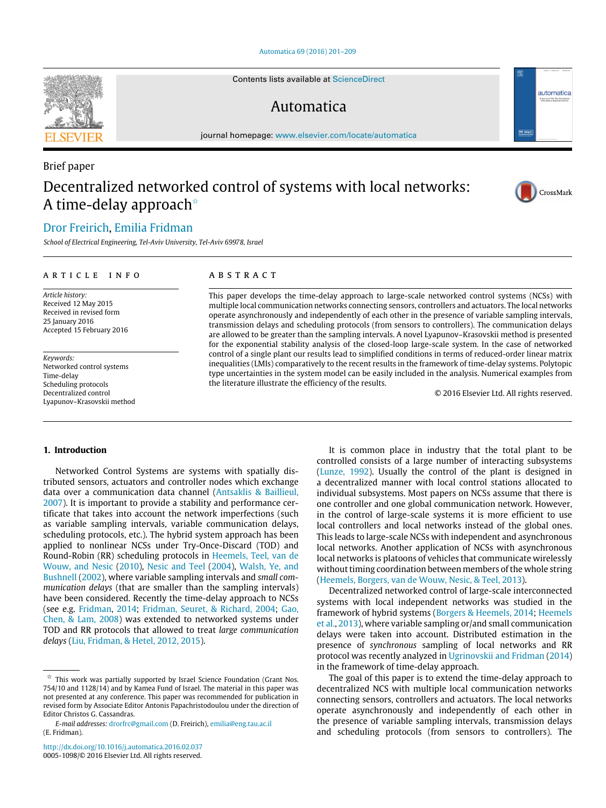[Automatica 69 \(2016\) 201–209](http://dx.doi.org/10.1016/j.automatica.2016.02.037)

Contents lists available at [ScienceDirect](http://www.elsevier.com/locate/automatica)

# Automatica

journal homepage: [www.elsevier.com/locate/automatica](http://www.elsevier.com/locate/automatica)

# Decentralized networked control of systems with local networks: A time-delay approach<sup> $\star$ </sup>

# [Dror Freirich,](#page-8-0) [Emilia Fridman](#page-8-1)

*School of Electrical Engineering, Tel-Aviv University, Tel-Aviv 69978, Israel*

## ARTICLE INFO

*Article history:* Received 12 May 2015 Received in revised form 25 January 2016 Accepted 15 February 2016

*Keywords:* Networked control systems Time-delay Scheduling protocols Decentralized control Lyapunov–Krasovskii method

# A B S T R A C T

This paper develops the time-delay approach to large-scale networked control systems (NCSs) with multiple local communication networks connecting sensors, controllers and actuators. The local networks operate asynchronously and independently of each other in the presence of variable sampling intervals, transmission delays and scheduling protocols (from sensors to controllers). The communication delays are allowed to be greater than the sampling intervals. A novel Lyapunov–Krasovskii method is presented for the exponential stability analysis of the closed-loop large-scale system. In the case of networked control of a single plant our results lead to simplified conditions in terms of reduced-order linear matrix inequalities (LMIs) comparatively to the recent results in the framework of time-delay systems. Polytopic type uncertainties in the system model can be easily included in the analysis. Numerical examples from the literature illustrate the efficiency of the results.

© 2016 Elsevier Ltd. All rights reserved.

### **1. Introduction**

Networked Control Systems are systems with spatially distributed sensors, actuators and controller nodes which exchange data over a communication data channel [\(Antsaklis](#page-8-2) [&](#page-8-2) [Baillieul,](#page-8-2) [2007\)](#page-8-2). It is important to provide a stability and performance certificate that takes into account the network imperfections (such as variable sampling intervals, variable communication delays, scheduling protocols, etc.). The hybrid system approach has been applied to nonlinear NCSs under Try-Once-Discard (TOD) and Round-Robin (RR) scheduling protocols in [Heemels,](#page-8-3) [Teel,](#page-8-3) [van](#page-8-3) [de](#page-8-3) [Wouw,](#page-8-3) [and](#page-8-3) [Nesic](#page-8-3) [\(2010\)](#page-8-3), [Nesic](#page-8-4) [and](#page-8-4) [Teel](#page-8-4) [\(2004\)](#page-8-4), [Walsh,](#page-8-5) [Ye,](#page-8-5) [and](#page-8-5) [Bushnell](#page-8-5) [\(2002\)](#page-8-5), where variable sampling intervals and *small communication delays* (that are smaller than the sampling intervals) have been considered. Recently the time-delay approach to NCSs (see e.g. [Fridman,](#page-8-6) [2014;](#page-8-6) [Fridman,](#page-8-7) [Seuret,](#page-8-7) [&](#page-8-7) [Richard,](#page-8-7) [2004;](#page-8-7) [Gao,](#page-8-8) [Chen,](#page-8-8) [&](#page-8-8) [Lam,](#page-8-8) [2008\)](#page-8-8) was extended to networked systems under TOD and RR protocols that allowed to treat *large communication delays* [\(Liu,](#page-8-9) [Fridman,](#page-8-9) [&](#page-8-9) [Hetel,](#page-8-9) [2012,](#page-8-9) [2015\)](#page-8-10).

<span id="page-0-0"></span> $\overrightarrow{x}$  This work was partially supported by Israel Science Foundation (Grant Nos. 754/10 and 1128/14) and by Kamea Fund of Israel. The material in this paper was not presented at any conference. This paper was recommended for publication in revised form by Associate Editor Antonis Papachristodoulou under the direction of Editor Christos G. Cassandras.

*E-mail addresses:* [drorfrc@gmail.com](mailto:drorfrc@gmail.com) (D. Freirich), [emilia@eng.tau.ac.il](mailto:emilia@eng.tau.ac.il) (E. Fridman).

It is common place in industry that the total plant to be controlled consists of a large number of interacting subsystems [\(Lunze,](#page-8-11) [1992\)](#page-8-11). Usually the control of the plant is designed in a decentralized manner with local control stations allocated to individual subsystems. Most papers on NCSs assume that there is one controller and one global communication network. However, in the control of large-scale systems it is more efficient to use local controllers and local networks instead of the global ones. This leads to large-scale NCSs with independent and asynchronous local networks. Another application of NCSs with asynchronous local networks is platoons of vehicles that communicate wirelessly without timing coordination between members of the whole string [\(Heemels,](#page-8-12) [Borgers,](#page-8-12) [van](#page-8-12) [de](#page-8-12) [Wouw,](#page-8-12) [Nesic,](#page-8-12) [&](#page-8-12) [Teel,](#page-8-12) [2013\)](#page-8-12).

Decentralized networked control of large-scale interconnected systems with local independent networks was studied in the framework of hybrid systems [\(Borgers](#page-8-13) [&](#page-8-13) [Heemels,](#page-8-13) [2014;](#page-8-13) [Heemels](#page-8-12) [et al.,](#page-8-12) [2013\)](#page-8-12), where variable sampling or/and small communication delays were taken into account. Distributed estimation in the presence of *synchronous* sampling of local networks and RR protocol was recently analyzed in [Ugrinovskii](#page-8-14) [and](#page-8-14) [Fridman](#page-8-14) [\(2014\)](#page-8-14) in the framework of time-delay approach.

The goal of this paper is to extend the time-delay approach to decentralized NCS with multiple local communication networks connecting sensors, controllers and actuators. The local networks operate asynchronously and independently of each other in the presence of variable sampling intervals, transmission delays and scheduling protocols (from sensors to controllers). The



Brief paper



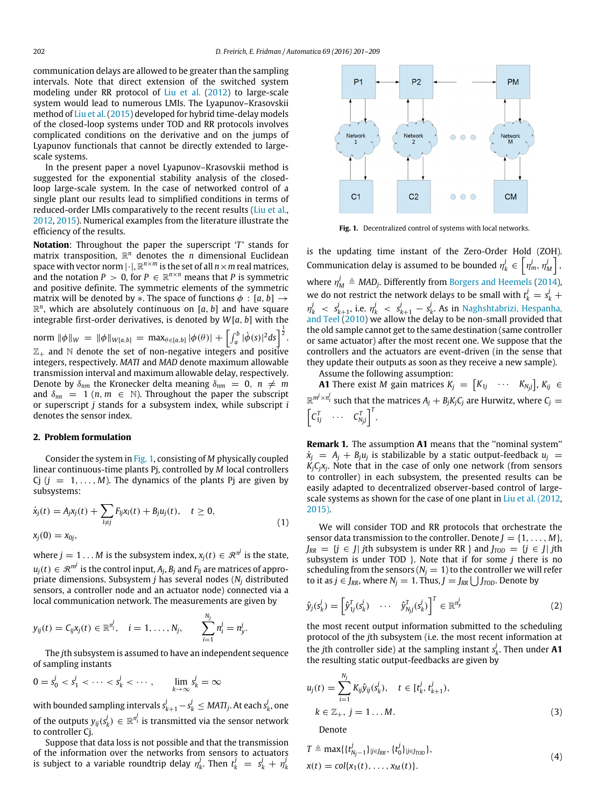communication delays are allowed to be greater than the sampling intervals. Note that direct extension of the switched system modeling under RR protocol of [Liu](#page-8-9) [et al.](#page-8-9) [\(2012\)](#page-8-9) to large-scale system would lead to numerous LMIs. The Lyapunov–Krasovskii method of [Liu](#page-8-10) [et al.](#page-8-10) [\(2015\)](#page-8-10) developed for hybrid time-delay models of the closed-loop systems under TOD and RR protocols involves complicated conditions on the derivative and on the jumps of Lyapunov functionals that cannot be directly extended to largescale systems.

In the present paper a novel Lyapunov–Krasovskii method is suggested for the exponential stability analysis of the closedloop large-scale system. In the case of networked control of a single plant our results lead to simplified conditions in terms of reduced-order LMIs comparatively to the recent results [\(Liu](#page-8-9) [et al.,](#page-8-9) [2012,](#page-8-9) [2015\)](#page-8-9). Numerical examples from the literature illustrate the efficiency of the results.

**Notation:** Throughout the paper the superscript '*T*' stands for matrix transposition, R *<sup>n</sup>* denotes the *n* dimensional Euclidean space with vector norm  $|\cdot|$ ,  $\mathbb{R}^{n\times m}$  is the set of all  $n\times m$  real matrices, and the notation  $P > 0$ , for  $P \in \mathbb{R}^{n \times n}$  means that P is symmetric and positive definite. The symmetric elements of the symmetric matrix will be denoted by  $*$ . The space of functions  $\phi : [a, b] \rightarrow$  $\mathbb{R}^n$ , which are absolutely continuous on  $[a, b]$  and have square integrable first-order derivatives, is denoted by *W*[*a*, *b*] with the

 $\text{norm } \|\phi\|_{W} \, = \, \|\phi\|_{W[a,b]} \, = \, \text{max}_{\theta \in [a,b]} \, |\phi(\theta)| \, + \, \Bigl[ \int_a^b |\dot{\phi}(s)|^2 ds \Bigr]^{\frac{1}{2}}.$  $\mathbb{Z}_+$  and  $\mathbb N$  denote the set of non-negative integers and positive integers, respectively. *MATI* and *MAD* denote maximum allowable transmission interval and maximum allowable delay, respectively. Denote by  $\delta_{nm}$  the Kronecker delta meaning  $\delta_{nm} = 0$ ,  $n \neq m$ and  $\delta_{nn}$  = 1 (*n*,  $m \in \mathbb{N}$ ). Throughout the paper the subscript or superscript *j* stands for a subsystem index, while subscript *i* denotes the sensor index.

# **2. Problem formulation**

Consider the system in [Fig. 1,](#page-1-0) consisting of *M* physically coupled linear continuous-time plants Pj, controlled by *M* local controllers Cj  $(j = 1, ..., M)$ . The dynamics of the plants Pj are given by subsystems:

$$
\dot{x}_j(t) = A_j x_j(t) + \sum_{l \neq j} F_{lj} x_l(t) + B_j u_j(t), \quad t \geq 0,
$$
  
\n
$$
x_j(0) = x_{0j},
$$
\n(1)

where  $j=1\ldots M$  is the subsystem index,  $x_j(t)\in\mathcal{R}^{n^j}$  is the state,  $u_j(t) \in \mathcal{R}^{m^j}$  is the control input,  $A_j$ ,  $B_j$  and  $F_{lj}$  are matrices of appropriate dimensions. Subsystem *j* has several nodes (*N<sup>j</sup>* distributed sensors, a controller node and an actuator node) connected via a local communication network. The measurements are given by

$$
y_{ij}(t) = C_{ij}x_j(t) \in \mathbb{R}^{n_i^j}, \quad i = 1, ..., N_j, \qquad \sum_{i=1}^{N_j} n_i^j = n_y^j.
$$

The *j*th subsystem is assumed to have an independent sequence of sampling instants

$$
0 = s_0^j < s_1^j < \cdots < s_k^j < \cdots, \qquad \lim_{k \to \infty} s_k^j = \infty
$$

with bounded sampling intervals  $s_{k+1}^j - s_k^j \leq \textit{MATl}_j$ . At each  $s_k^j$ , one of the outputs  $y_{ij}(s^j_k) \, \in \, \mathbb{R}^{n_i^j}$  is transmitted via the sensor network to controller Cj.

Suppose that data loss is not possible and that the transmission of the information over the networks from sensors to actuators is subject to a variable roundtrip delay  $\eta_k^j$ . Then  $t_k^j \;=\; s_k^j \,+\, \eta_k^j$ 

<span id="page-1-0"></span>

**Fig. 1.** Decentralized control of systems with local networks.

is the updating time instant of the Zero-Order Hold (ZOH). Communication delay is assumed to be bounded  $\eta_k^j \in \left[\eta_m^j, \eta_M^j\right]$ , where  $\eta_M^j \triangleq \text{MAD}_j$ . Differently from [Borgers](#page-8-13) [and](#page-8-13) [Heemels](#page-8-13) [\(2014\)](#page-8-13), we do not restrict the network delays to be small with  $t_k^j = s_k^j + t_k^j$  $\eta^j_k$  <  $s^j_{k+1}$ , i.e.  $\eta^j_k$  <  $s^j_{k+1}$  –  $s^j_k$ . As in [Naghshtabrizi,](#page-8-15) [Hespanha,](#page-8-15) [and](#page-8-15) [Teel](#page-8-15) [\(2010\)](#page-8-15) we allow the delay to be non-small provided that the old sample cannot get to the same destination (same controller or same actuator) after the most recent one. We suppose that the controllers and the actuators are event-driven (in the sense that they update their outputs as soon as they receive a new sample).

Assume the following assumption:

**A1** There exist *M* gain matrices  $K_j = [K_{1j} \cdots K_{N_jj}], K_{ij} \in$  $\mathbb{R}^{m^j \times n_i^j}$  such that the matrices  $A_j + B_j K_j C_j$  are Hurwitz, where  $C_j =$  $\left[C_{1j}^T \quad \cdots \quad C_{N_jj}^T\right]^T$ .

**Remark 1.** The assumption **A1** means that the ''nominal system''  $\dot{x}_j = A_j + B_j u_j$  is stabilizable by a static output-feedback  $u_j =$ *KjCjx<sup>j</sup>* . Note that in the case of only one network (from sensors to controller) in each subsystem, the presented results can be easily adapted to decentralized observer-based control of largescale systems as shown for the case of one plant in [Liu](#page-8-9) [et al.](#page-8-9) [\(2012,](#page-8-9) [2015\).](#page-8-10)

<span id="page-1-1"></span>We will consider TOD and RR protocols that orchestrate the sensor data transmission to the controller. Denote  $J = \{1, \ldots, M\}$ ,  $J_{RR}$  = {*j* ∈ *J*| *j*th subsystem is under RR } and  $J_{TOD}$  = {*j* ∈ *J*| *j*th subsystem is under TOD }. Note that if for some *j* there is no scheduling from the sensors ( $N_i = 1$ ) to the controller we will refer to it as *j* ∈ *J*<sub>RR</sub>, where  $N_j = 1$ . Thus,  $J = J_{RR}$  ∪ *J*<sub>*TOD</sub>*. Denote by</sub>

<span id="page-1-3"></span>
$$
\hat{y}_j(s_k^j) = \begin{bmatrix} \hat{y}_{1j}^T(s_k^j) & \cdots & \hat{y}_{N_{j}j}^T(s_k^j) \end{bmatrix}^T \in \mathbb{R}^{n_y^j}
$$
\n(2)

the most recent output information submitted to the scheduling protocol of the *j*th subsystem (i.e. the most recent information at the *j*th controller side) at the sampling instant  $s_k^j$ . Then under **A1** the resulting static output-feedbacks are given by

$$
u_j(t) = \sum_{i=1}^{N_j} K_{ij} \hat{y}_{ij} (s_k^j), \quad t \in [t_k^j, t_{k+1}^j),
$$
  

$$
k \in \mathbb{Z}_+, j = 1...M.
$$
 (3)

<span id="page-1-4"></span><span id="page-1-2"></span>Denote

$$
T \triangleq \max\{\{t_{N_j-1}^j\}_{j \in J_{RR}}, \{t_0^j\}_{j \in J_{TOD}}\},
$$
  
 
$$
x(t) = col\{x_1(t), \dots, x_M(t)\}.
$$
 (4)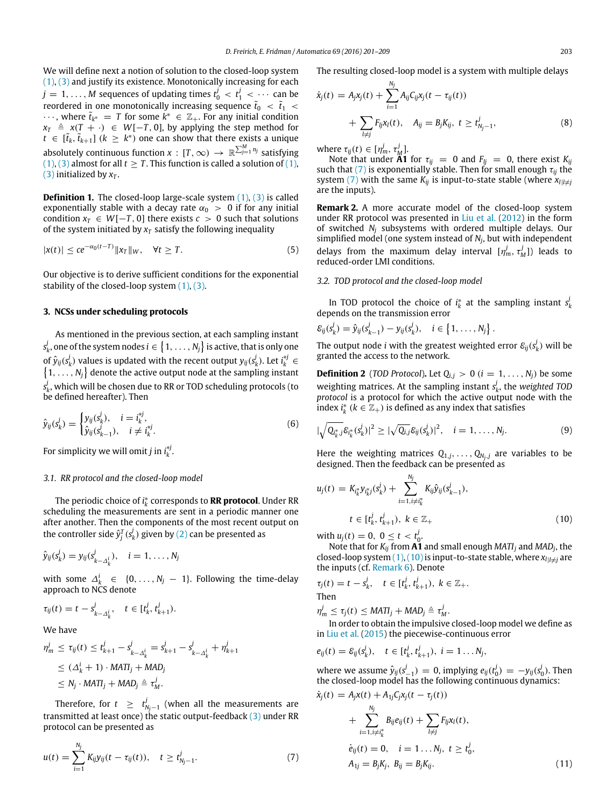We will define next a notion of solution to the closed-loop system [\(1\),](#page-1-1) [\(3\)](#page-1-2) and justify its existence. Monotonically increasing for each  $j = 1, \ldots, M$  sequences of updating times  $t_0^j < t_1^j < \cdots$  can be reordered in one monotonically increasing sequence  $\tilde{t}_0$   $\ < \ \tilde{t}_1$   $\ <$  $\cdots$ , where  $\tilde{t}_{k^*} = T$  for some  $k^* \in \mathbb{Z}_+$ . For any initial condition  $x_T \triangleq x(T + \cdot) \in W[-T, 0]$ , by applying the step method for  $t \in [\tilde{t}_k, \tilde{t}_{k+1}]$  ( $k \geq k^*$ ) one can show that there exists a unique absolutely continuous function  $x : [T, \infty) \to \mathbb{R}^{\sum_{j=1}^{M} n_j}$  satisfying [\(1\),](#page-1-1) [\(3\)](#page-1-2) almost for all  $t > T$ . This function is called a solution of (1), [\(3\)](#page-1-2) initialized by  $x_T$ .

**Definition 1.** The closed-loop large-scale system [\(1\),](#page-1-1) [\(3\)](#page-1-2) is called exponentially stable with a decay rate  $\alpha_0 > 0$  if for any initial condition  $x_T \in W[-T, 0]$  there exists  $c > 0$  such that solutions of the system initiated by  $x_T$  satisfy the following inequality

$$
|x(t)| \le ce^{-\alpha_0(t-T)} \|x_T\|_W, \quad \forall t \ge T.
$$
\n
$$
(5)
$$

Our objective is to derive sufficient conditions for the exponential stability of the closed-loop system  $(1)$ ,  $(3)$ .

### **3. NCSs under scheduling protocols**

As mentioned in the previous section, at each sampling instant  $s^j_k$ , one of the system nodes  $i \in \big\{1,\ldots,N_j\big\}$  is active, that is only one of  $\hat{y}_{ij}(s_k^j)$  values is updated with the recent output  $y_{ij}(s_k^j)$ . Let  $i_k^{*j} \in$  $\{1, \ldots, N_j\}$  denote the active output node at the sampling instant  $s_k^j$ , which will be chosen due to RR or TOD scheduling protocols (to be defined hereafter). Then

$$
\hat{y}_{ij}(s_k^j) = \begin{cases} y_{ij}(s_k^j), & i = i_k^{*j}, \\ \hat{y}_{ij}(s_{k-1}^j), & i \neq i_k^{*j}. \end{cases}
$$
\n(6)

For simplicity we will omit *j* in  $i_k^{*j}$ .

#### *3.1. RR protocol and the closed-loop model*

The periodic choice of *i* ∗ *k* corresponds to **RR protocol**. Under RR scheduling the measurements are sent in a periodic manner one after another. Then the components of the most recent output on the controller side  $\hat{y}_j^T(s_k^j)$  given by [\(2\)](#page-1-3) can be presented as

$$
\hat{y}_{ij}(s_k^j) = y_{ij}(s_{k-\Delta_k^i}^j), \quad i = 1, \ldots, N_j
$$

with some  $\Delta_k^i \in \{0, \ldots, N_j-1\}$ . Following the time-delay approach to NCS denote

$$
\tau_{ij}(t) = t - s_{k-\Delta_k^i}^j, \quad t \in [t_k^j, t_{k+1}^j).
$$

We have

$$
\begin{aligned}\n\eta_m^j &\le \tau_{ij}(t) \le t_{k+1}^j - s_{k-\Delta_k^i}^j = s_{k+1}^j - s_{k-\Delta_k^i}^j + \eta_{k+1}^j \\
&\le (\Delta_k^i + 1) \cdot \text{MATI}_j + \text{MAD}_j \\
&\le N_j \cdot \text{MATI}_j + \text{MAD}_j \triangleq \tau_M^j.\n\end{aligned}
$$

Therefore, for  $t \geq t^j_{N_j-1}$  (when all the measurements are transmitted at least once) the static output-feedback [\(3\)](#page-1-2) under RR protocol can be presented as

$$
u(t) = \sum_{i=1}^{N_j} K_{ij} y_{ij} (t - \tau_{ij}(t)), \quad t \ge t_{N_j - 1}^j.
$$
 (7)

The resulting closed-loop model is a system with multiple delays

$$
\dot{x}_j(t) = A_j x_j(t) + \sum_{i=1}^{N_j} A_{ij} C_{ij} x_j(t - \tau_{ij}(t)) + \sum_{l \neq j} F_{lj} x_l(t), \quad A_{ij} = B_j K_{ij}, \ t \ge t_{N_j - 1}^j,
$$
\n(8)

<span id="page-2-3"></span>where  $\tau_{ij}(t) \in [\eta_m^j, \tau_M^j]$ .

Note that under  $\overrightarrow{A1}$  for  $\tau_{ij} = 0$  and  $F_{ij} = 0$ , there exist  $K_{ij}$ such that [\(7\)](#page-2-0) is exponentially stable. Then for small enough  $\tau_{ij}$  the system [\(7\)](#page-2-0) with the same  $K_{ij}$  is input-to-state stable (where  $x_{i|l\neq j}$ are the inputs).

**Remark 2.** A more accurate model of the closed-loop system under RR protocol was presented in [Liu](#page-8-9) [et al.](#page-8-9) [\(2012\)](#page-8-9) in the form of switched *N<sup>j</sup>* subsystems with ordered multiple delays. Our simplified model (one system instead of *N<sup>j</sup>* , but with independent

<span id="page-2-4"></span>delays from the maximum delay interval  $[\eta_m^j, \tau_M^j]$ ) leads to reduced-order LMI conditions.

# *3.2. TOD protocol and the closed-loop model*

In TOD protocol the choice of  $i_k^*$  at the sampling instant  $s_k^j$ depends on the transmission error

$$
\mathcal{E}_{ij}(s_k^j) = \hat{y}_{ij}(s_{k-1}^j) - y_{ij}(s_k^j), \quad i \in \{1, ..., N_j\}.
$$

The output node *i* with the greatest weighted error  $\varepsilon_{ij}(s_k^j)$  will be granted the access to the network.

**Definition 2** (*TOD Protocol*). Let  $Q_{i,j} > 0$  ( $i = 1, ..., N_j$ ) be some weighting matrices. At the sampling instant  $s_k^j$ , the *weighted TOD protocol* is a protocol for which the active output node with the index  $i_k^*$  ( $k \in \mathbb{Z}_+$ ) is defined as any index that satisfies

$$
|\sqrt{Q_{i_k^*j}}\mathcal{E}_{i_k^*}(s_k^j)|^2 \ge |\sqrt{Q_{i,j}}\mathcal{E}_{ij}(s_k^j)|^2, \quad i = 1, ..., N_j.
$$
 (9)

Here the weighting matrices  $Q_{1,j}, \ldots, Q_{N_j,j}$  are variables to be designed. Then the feedback can be presented as

$$
u_j(t) = K_{i_k^*} y_{i_k^*j} (s_k^j) + \sum_{i=1, i \neq i_k^*}^{N_j} K_{ij} \hat{y}_{ij} (s_{k-1}^j),
$$
  

$$
t \in [t_k^j, t_{k+1}^j), \ k \in \mathbb{Z}_+
$$
 (10)

<span id="page-2-1"></span>with  $u_j(t) = 0, 0 \le t < t_0^j$ .

Note that for *Kij* from **A1** and small enough *MATI<sup>j</sup>* and *MAD<sup>j</sup>* , the closed-loop system  $(1)$ ,  $(10)$  is input-to-state stable, where  $x_{l}$ <sub> $l \neq j$ </sub> are the inputs (cf. [Remark 6\)](#page-6-0). Denote

$$
\tau_j(t) = t - s_k^j, \quad t \in [t_k^j, t_{k+1}^j), \ k \in \mathbb{Z}_+.
$$

Then

$$
\eta_m^j \leq \tau_j(t) \leq \text{MATI}_j + \text{MAD}_j \triangleq \tau_M^j.
$$

In order to obtain the impulsive closed-loop model we define as in [Liu](#page-8-10) [et al.](#page-8-10) [\(2015\)](#page-8-10) the piecewise-continuous error

$$
e_{ij}(t) = \mathcal{E}_{ij}(s_k^j), \quad t \in [t_k^j, t_{k+1}^j), \ i = 1 \dots N_j,
$$

where we assume  $\hat{y}_{ij}(s_{-1}^j) = 0$ , implying  $e_{ij}(t_0^j) = -y_{ij}(s_0^j)$ . Then the closed-loop model has the following continuous dynamics:

<span id="page-2-2"></span><span id="page-2-0"></span>
$$
\dot{x}_{j}(t) = A_{j}x(t) + A_{1j}C_{j}x_{j}(t - \tau_{j}(t)) \n+ \sum_{i=1, i \neq i^{*}_{k}}^{N_{j}} B_{ij}e_{ij}(t) + \sum_{l \neq j} F_{lj}x_{l}(t), \n\dot{e}_{ij}(t) = 0, \quad i = 1...N_{j}, \ t \geq t_{0}^{j}, \nA_{1j} = B_{j}K_{j}, \ B_{ij} = B_{j}K_{ij}.
$$
\n(11)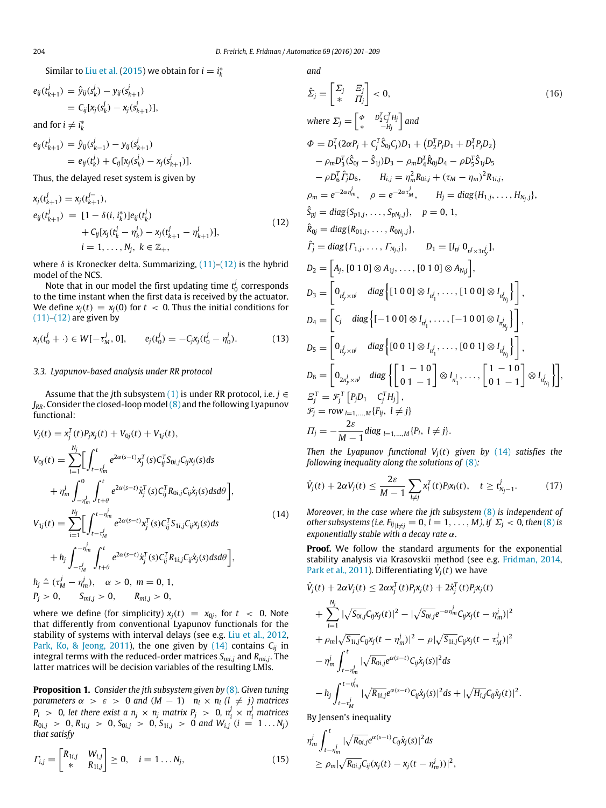Similar to [Liu](#page-8-10) [et al.](#page-8-10) [\(2015\)](#page-8-10) we obtain for  $i = i^*_{k}$ 

$$
e_{ij}(t_{k+1}^j) = \hat{y}_{ij}(s_k^j) - y_{ij}(s_{k+1}^j)
$$
  
=  $C_{ij}[x_j(s_k^j) - x_j(s_{k+1}^j)],$ 

and for  $i \neq i_k^*$ 

*j*

$$
e_{ij}(t_{k+1}^j) = \hat{y}_{ij}(s_{k-1}^j) - y_{ij}(s_{k+1}^j)
$$
  
=  $e_{ij}(t_k^j) + C_{ij}[x_j(s_k^j) - x_j(s_{k+1}^j)].$ 

Thus, the delayed reset system is given by

$$
x_j(t_{k+1}^j) = x_j(t_{k+1}^{j-1}),
$$
  
\n
$$
e_{ij}(t_{k+1}^j) = [1 - \delta(i, i_k^*)]e_{ij}(t_k^j)
$$
  
\n
$$
+ C_{ij}[x_j(t_k^j - \eta_k^j) - x_j(t_{k+1}^j - \eta_{k+1}^j)],
$$
  
\n
$$
i = 1, ..., N_j, k \in \mathbb{Z}_+,
$$
\n(12)

where  $\delta$  is Kronecker delta. Summarizing,  $(11)-(12)$  $(11)-(12)$  is the hybrid model of the NCS.

Note that in our model the first updating time  $t_0^j$  corresponds to the time instant when the first data is received by the actuator. We define  $x_i(t) = x_i(0)$  for  $t < 0$ . Thus the initial conditions for  $(11)–(12)$  $(11)–(12)$  are given by

$$
x_j(t_0^j + \cdot) \in W[-\tau_M^j, 0], \qquad e_j(t_0^j) = -C_j x_j(t_0^j - \eta_0^j). \tag{13}
$$

# *3.3. Lyapunov-based analysis under RR protocol*

Assume that the *j*th subsystem [\(1\)](#page-1-1) is under RR protocol, i.e. *j* ∈ *JRR*. Consider the closed-loop model[\(8\)](#page-2-3) and the following Lyapunov functional:

$$
V_{j}(t) = x_{j}^{T}(t)P_{j}x_{j}(t) + V_{0j}(t) + V_{1j}(t),
$$
\n
$$
V_{0j}(t) = \sum_{i=1}^{N_{j}} \Biggl[ \int_{t-\eta_{m}^{j}}^{t} e^{2\alpha(s-t)} x_{j}^{T}(s) C_{ij}^{T} S_{0i,j} C_{ij} x_{j}(s) ds + \eta_{m}^{j} \int_{-\eta_{m}^{j}}^{0} \int_{t+\theta}^{t} e^{2\alpha(s-t)} \dot{x}_{j}^{T}(s) C_{ij}^{T} R_{0i,j} C_{ij} \dot{x}_{j}(s) ds d\theta \Biggr],
$$
\n
$$
V_{1j}(t) = \sum_{i=1}^{N_{j}} \Biggl[ \int_{t-\tau_{M}^{j}}^{t-\eta_{m}^{j}} e^{2\alpha(s-t)} x_{j}^{T}(s) C_{ij}^{T} S_{1i,j} C_{ij} x_{j}(s) ds + h_{j} \int_{-\tau_{M}^{j}}^{-\eta_{m}^{j}} \int_{t+\theta}^{t} e^{2\alpha(s-t)} \dot{x}_{j}^{T}(s) C_{ij}^{T} R_{1i,j} C_{ij} \dot{x}_{j}(s) ds d\theta \Biggr],
$$
\n
$$
h_{j} \triangleq (\tau_{M}^{j} - \eta_{m}^{j}), \quad \alpha > 0, \ m = 0, 1,
$$
\n
$$
P_{j} > 0, \quad S_{mi,j} > 0, \quad R_{mi,j} > 0,
$$
\n(14)

where we define (for simplicity)  $x_j(t) = x_{0j}$ , for  $t < 0$ . Note that differently from conventional Lyapunov functionals for the stability of systems with interval delays (see e.g. [Liu](#page-8-9) [et al.,](#page-8-9) [2012,](#page-8-9) [Park,](#page-8-16) [Ko,](#page-8-16) [&](#page-8-16) [Jeong,](#page-8-16) [2011\)](#page-8-16), the one given by  $(14)$  contains  $C_{ij}$  in integral terms with the reduced-order matrices *Smi*,*<sup>j</sup>* and *Rmi*,*<sup>j</sup>* . The latter matrices will be decision variables of the resulting LMIs.

<span id="page-3-2"></span>**Proposition 1.** *Consider the jth subsystem given by* [\(8\)](#page-2-3)*. Given tuning parameters*  $\alpha > \varepsilon > 0$  *and*  $(M - 1)$  *n*<sub>*l*</sub>  $\times$  *n*<sub>*l*</sub>  $(l \neq j)$  *matrices*  $P_l$   $>$  0, let there exist a  $n_j$   $\times$   $n_j$  matrix  $P_j$   $>$  0,  $n_i^j$   $\times$   $n_i^j$  matrices  $R_{0i,j}$  > 0,  $R_{1i,j}$  > 0,  $S_{0i,j}$  > 0,  $S_{1i,j}$  > 0 and  $W_{i,j}$  (*i* = 1...  $N_j$ ) *that satisfy*

$$
\Gamma_{i,j} = \begin{bmatrix} R_{1i,j} & W_{i,j} \\ * & R_{1i,j} \end{bmatrix} \geq 0, \quad i = 1 \dots N_j,
$$
\n(15)

*and*

<span id="page-3-4"></span><span id="page-3-0"></span>
$$
\hat{\Sigma}_{j} = \begin{bmatrix} \Sigma_{j} & \Sigma_{j} \\ * & H_{j} \end{bmatrix} < 0, \qquad (16)
$$
\nwhere  $\Sigma_{j} = \begin{bmatrix} \phi & D_{j}^{T}C_{j}^{T}H_{j} \\ * & -H_{j} \end{bmatrix}$  and  
\n $\Phi = D_{1}^{T}(2\alpha P_{j} + C_{j}^{T} \hat{S}_{0j}C_{j})D_{1} + (D_{2}^{T}P_{j}D_{1} + D_{1}^{T}P_{j}D_{2})$   
\n $-\rho_{m}D_{3}^{T}(\hat{S}_{0j} - \hat{S}_{1j})D_{3} - \rho_{m}D_{4}^{T}R_{0j}D_{4} - \rho D_{5}^{T} \hat{S}_{1j}D_{5}$   
\n $-\rho D_{6}^{T} \hat{I}_{j}D_{6}, \qquad H_{i,j} = \eta_{m}^{2}R_{0i,j} + (\tau_{M} - \eta_{m})^{2}R_{1i,j},$   
\n $\rho_{m} = e^{-2\alpha\eta_{m}^{j}}, \qquad \rho = e^{-2\alpha\eta_{M}^{j}}, \qquad H_{j} = \text{diag}\{H_{1,j}, \ldots, H_{N_{j},j}\},$   
\n $\hat{S}_{pj} = \text{diag}\{S_{p1,j}, \ldots, S_{pN_{j},j}\}, \qquad D_{1} = [I_{n^{j}} 0_{n^{j} \times 3n^{j}}],$   
\n $\hat{I}_{j} = \text{diag}\{I_{1,j}, \ldots, I_{N_{j},j}\}, \qquad D_{1} = [I_{n^{j}} 0_{n^{j} \times 3n^{j}}],$   
\n $D_{2} = \begin{bmatrix} A_{j}, [0 \ 1 \ 0] \otimes A_{1j}, \ldots, [0 \ 1 \ 0] \otimes A_{N_{j}j} \end{bmatrix},$   
\n $D_{3} = \begin{bmatrix} 0_{n^{j}_{j} \times n^{j}} & \text{diag}\{[1 \ 0 \ 0] \otimes I_{n^{j}_{1}}, \ldots, [1 \ 0 \ 0] \otimes I_{n^{j}_{N_{j}}} \end{bmatrix},$   
\n $D_{4} = \begin{bmatrix} C_{j} & \text{diag}\{[-1 \$ 

<span id="page-3-6"></span><span id="page-3-1"></span>*Then the Lyapunov functional*  $V_i(t)$  *given by [\(14\)](#page-3-1) satisfies the following inequality along the solutions of* [\(8\)](#page-2-3)*:*

<span id="page-3-5"></span>
$$
\dot{V}_j(t) + 2\alpha V_j(t) \le \frac{2\varepsilon}{M-1} \sum_{l \ne j} x_l^T(t) P_l x_l(t), \quad t \ge t_{N_j-1}^j. \tag{17}
$$

*Moreover, in the case where the jth subsystem* [\(8\)](#page-2-3) *is independent of other subsystems (i.e.*  $F_{ij}$ <sub> $|l \neq j}$ </sub> = 0, *l* = 1, . . . , *M), if*  $\Sigma_j$  < 0, then [\(8\)](#page-2-3) is *exponentially stable with a decay rate* α*.*

**Proof.** We follow the standard arguments for the exponential stability analysis via Krasovskii method (see e.g. [Fridman,](#page-8-6) [2014,](#page-8-6) [Park](#page-8-16) [et al.,](#page-8-16) [2011\)](#page-8-16). Differentiating  $\dot{V}_j(t)$  we have

$$
\dot{V}_{j}(t) + 2\alpha V_{j}(t) \leq 2\alpha x_{j}^{T}(t)P_{j}x_{j}(t) + 2\dot{x}_{j}^{T}(t)P_{j}x_{j}(t) \n+ \sum_{i=1}^{N_{j}} |\sqrt{S_{0i,j}}C_{ij}x_{j}(t)|^{2} - |\sqrt{S_{0i,j}}e^{-\alpha\eta_{m}^{j}}C_{ij}x_{j}(t - \eta_{m}^{j})|^{2} \n+ \rho_{m}|\sqrt{S_{1i,j}}C_{ij}x_{j}(t - \eta_{m}^{j})|^{2} - \rho|\sqrt{S_{1i,j}}C_{ij}x_{j}(t - \tau_{M}^{j})|^{2} \n- \eta_{m}^{j} \int_{t - \eta_{m}^{j}}^{t} |\sqrt{R_{0i,j}}e^{\alpha(s-t)}C_{ij}\dot{x}_{j}(s)|^{2} ds \n- h_{j} \int_{t - \tau_{M}^{j}}^{t - \eta_{m}^{j}} |\sqrt{R_{1i,j}}e^{\alpha(s-t)}C_{ij}\dot{x}_{j}(s)|^{2} ds + |\sqrt{H_{i,j}}C_{ij}\dot{x}_{j}(t)|^{2}.
$$

By Jensen's inequality

<span id="page-3-3"></span>
$$
\eta_m^j \int_{t-\eta_m^j}^t |\sqrt{R_{0i,j}} e^{\alpha(s-t)} C_{ij} \dot{x}_j(s)|^2 ds \ge \rho_m |\sqrt{R_{0i,j}} C_{ij}(x_j(t) - x_j(t - \eta_m^j))|^2,
$$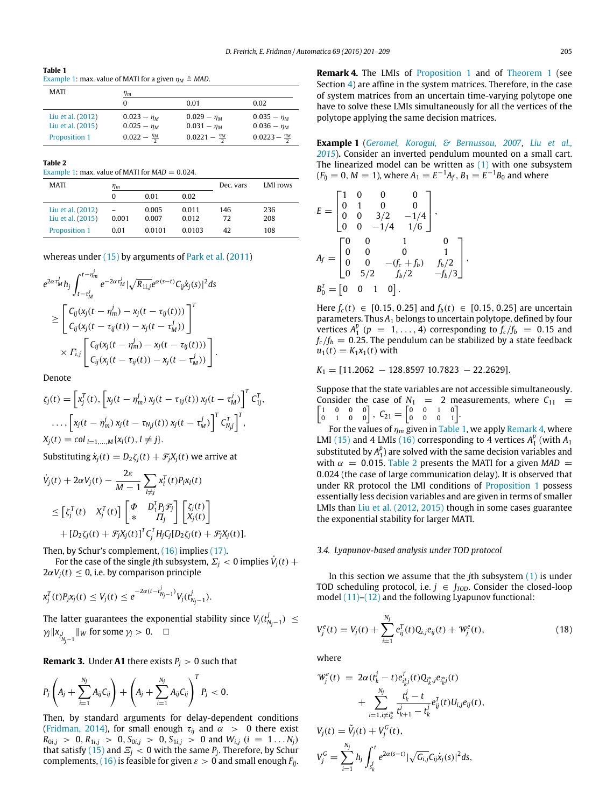<span id="page-4-1"></span>**Table 1** [Example 1:](#page-4-0) max. value of MATI for a given  $n_M \triangleq MAD$ .

| MATI                                   | $\eta_m$                             |                                |                                   |  |
|----------------------------------------|--------------------------------------|--------------------------------|-----------------------------------|--|
|                                        | 0                                    | 0.01                           | 0.02                              |  |
| Liu et al. (2012)<br>Liu et al. (2015) | $0.023 - \eta_M$<br>$0.025 - \eta_M$ | $0.029 - n_M$<br>$0.031 - n_M$ | $0.035 - \eta_M$<br>$0.036 - n_M$ |  |
| Proposition 1                          | $0.022 - \frac{\eta_M}{2}$           | $0.0221 - \frac{\eta_M}{2}$    | $0.0223 - \frac{\eta_M}{2}$       |  |

<span id="page-4-3"></span>**Table 2**

[Example 1:](#page-4-0) max. value of MATI for  $MAD = 0.024$ .

*j*

| MATI              | $\eta_m$ |        |        | Dec. vars | LMI rows |
|-------------------|----------|--------|--------|-----------|----------|
|                   | 0        | 0.01   | 0.02   |           |          |
| Liu et al. (2012) |          | 0.005  | 0.011  | 146       | 236      |
| Liu et al. (2015) | 0.001    | 0.007  | 0.012  | 72        | 208      |
| Proposition 1     | 0.01     | 0.0101 | 0.0103 | 42        | 108      |

whereas under [\(15\)](#page-3-3) by arguments of [Park](#page-8-16) [et al.](#page-8-16) [\(2011\)](#page-8-16)

$$
e^{2\alpha \tau_M^j} h_j \int_{t-\tau_M^j}^{t-\eta_m^j} e^{-2\alpha \tau_M^j} |\sqrt{R_{1i,j}} e^{\alpha(s-t)} C_{ij} \dot{x}_j(s)|^2 ds
$$
  
\n
$$
\geq \left[ C_{ij} (x_j(t-\eta_m^j)-x_j(t-\tau_{ij}(t))) \right]^T
$$
  
\n
$$
\times \Gamma_{ij} \left[ C_{ij} (x_j(t-\tau_{ij}(t)) - x_j(t-\tau_{M}^j)) \right]^T
$$
  
\n
$$
\times \Gamma_{ij} \left[ C_{ij} (x_j(t-\eta_m^j)-x_j(t-\tau_{ij}(t))) \right].
$$

Denote

$$
\zeta_j(t) = \left[ x_j^T(t), \left[ x_j(t - \eta_m^j) x_j(t - \tau_{1j}(t)) x_j(t - \tau_M^j) \right]^T C_{1j}^T, \n\ldots, \left[ x_j(t - \eta_m^j) x_j(t - \tau_{Nj}(t)) x_j(t - \tau_M^j) \right]^T C_{Nj}^T \right]^T, \nX_j(t) = \text{col}_{l=1,\ldots,M} \{ x_l(t), l \neq j \}.
$$

Substituting  $\dot{x}_i(t) = D_2 \zeta_i(t) + \mathcal{F}_i X_i(t)$  we arrive at

$$
\dot{V}_j(t) + 2\alpha V_j(t) - \frac{2\varepsilon}{M-1} \sum_{l \neq j} x_l^T(t) P_l x_l(t)
$$
\n
$$
\leq \left[ \zeta_j^T(t) \quad X_j^T(t) \right] \begin{bmatrix} \Phi & D_1^T P_j \mathcal{F}_j \\ * & H_j \end{bmatrix} \begin{bmatrix} \zeta_j(t) \\ X_j(t) \end{bmatrix}
$$
\n
$$
+ [D_2 \zeta_j(t) + \mathcal{F}_j X_j(t)]^T \zeta_j^T H_j C_j [D_2 \zeta_j(t) + \mathcal{F}_j X_j(t)].
$$

Then, by Schur's complement, [\(16\)](#page-3-4) implies [\(17\).](#page-3-5)

For the case of the single *j*th subsystem,  $\sum_j$  < 0 implies  $\dot{V}_j(t)$  +  $2\alpha V_i(t) \leq 0$ , i.e. by comparison principle

$$
x_j^T(t)P_jx_j(t) \leq V_j(t) \leq e^{-2\alpha(t-t_{N_j-1}^j)}V_j(t_{N_j-1}^j).
$$

The latter guarantees the exponential stability since  $V_j(t_{N_j-1}^j) \leq$  $\gamma_j \|x_{t_{N_j-1}^j}\|_W$  for some  $\gamma_j > 0$ .  $\Box$ 

**Remark 3.** Under **A1** there exists  $P_i > 0$  such that

$$
P_j\left(A_j + \sum_{i=1}^{N_j} A_{ij}C_{ij}\right) + \left(A_j + \sum_{i=1}^{N_j} A_{ij}C_{ij}\right)^T P_j < 0.
$$

Then, by standard arguments for delay-dependent conditions [\(Fridman,](#page-8-6) [2014\)](#page-8-6), for small enough  $\tau_{ij}$  and  $\alpha > 0$  there exist  $R_{0i,j}$  > 0,  $R_{1i,j}$  > 0,  $S_{0i,j}$  > 0,  $S_{1i,j}$  > 0 and  $W_{i,j}$  (*i* = 1...  $N_j$ ) that satisfy [\(15\)](#page-3-3) and  $E_j < 0$  with the same  $P_j$ . Therefore, by Schur complements, [\(16\)](#page-3-4) is feasible for given  $\varepsilon > 0$  and small enough  $F_{li}$ . <span id="page-4-2"></span><span id="page-4-0"></span>**Example 1** (*[Geromel,](#page-8-17) [Korogui,](#page-8-17) [&](#page-8-17) [Bernussou,](#page-8-17) [2007,](#page-8-17) [Liu](#page-8-10) [et al.,](#page-8-10) [2015](#page-8-10)*)**.** Consider an inverted pendulum mounted on a small cart. The linearized model can be written as [\(1\)](#page-1-1) with one subsystem  $(F_{ij} = 0, M = 1)$ , where  $A_1 = E^{-1}A_f$ ,  $B_1 = E^{-1}B_0$  and where

$$
E = \begin{bmatrix} 1 & 0 & 0 & 0 \\ 0 & 1 & 0 & 0 \\ 0 & 0 & 3/2 & -1/4 \\ 0 & 0 & -1/4 & 1/6 \end{bmatrix},
$$
  
\n
$$
A_f = \begin{bmatrix} 0 & 0 & 1 & 0 \\ 0 & 0 & 0 & 1 \\ 0 & 0 & -(f_c + f_b) & f_b/2 \\ 0 & 5/2 & f_b/2 & -f_b/3 \end{bmatrix},
$$
  
\n
$$
B_0^T = \begin{bmatrix} 0 & 0 & 1 & 0 \end{bmatrix}.
$$

Here  $f_c(t)$  ∈ [0.15, 0.25] and  $f_b(t)$  ∈ [0.15, 0.25] are uncertain parameters. Thus *A*<sup>1</sup> belongs to uncertain polytope, defined by four vertices  $A_1^p$  ( $p = 1, ..., 4$ ) corresponding to  $f_c/f_b = 0.15$  and  $f_c/f_b = 0.25$ . The pendulum can be stabilized by a state feedback  $u_1(t) = K_1 x_1(t)$  with

*K*<sub>1</sub> = [11.2062 − 128.8597 10.7823 − 22.2629].

Suppose that the state variables are not accessible simultaneously. Consider the case of ſ *N*<sub>1</sub> = 2 measurements, where  $C_{11}$  =  $\begin{bmatrix} 1 & 0 & 0 & 0 \\ 0 & 1 & 0 & 0 \\ 0 & 1 & 0 & 0 \end{bmatrix}$ ,  $C_{21} = \begin{bmatrix} 0 & 0 & 1 & 0 \\ 0 & 0 & 0 & 1 \end{bmatrix}$ .

For the values of  $\eta_m$  given in [Table 1,](#page-4-1) we apply [Remark 4,](#page-4-2) where LMI [\(15\)](#page-3-3) and 4 LMIs [\(16\)](#page-3-4) corresponding to 4 vertices  $A_1^p$  (with  $A_1$ substituted by  $A_1^p$ ) are solved with the same decision variables and with  $\alpha$  = 0.015. [Table 2](#page-4-3) presents the MATI for a given MAD = 0.024 (the case of large communication delay). It is observed that under RR protocol the LMI conditions of [Proposition 1](#page-3-2) possess essentially less decision variables and are given in terms of smaller LMIs than [Liu](#page-8-9) [et al.](#page-8-9) [\(2012,](#page-8-9) [2015\)](#page-8-10) though in some cases guarantee the exponential stability for larger MATI.

#### *3.4. Lyapunov-based analysis under TOD protocol*

In this section we assume that the *j*th subsystem [\(1\)](#page-1-1) is under TOD scheduling protocol, i.e.  $j \in J_{TOD}$ . Consider the closed-loop model [\(11\)](#page-2-2)[–\(12\)](#page-3-0) and the following Lyapunov functional:

<span id="page-4-4"></span>
$$
V_j^e(t) = V_j(t) + \sum_{i=1}^{N_j} e_{ij}^T(t) Q_{i,j} e_{ij}(t) + W_j^e(t),
$$
\n(18)

where

$$
\mathcal{W}_j^e(t) = 2\alpha (t_k^j - t) e_{i_k^j}^T(t) Q_{i_k^*}^* j e_{i_k^*j}^T(t) \n+ \sum_{i=1, i \neq i_k^*}^{N_j} \frac{t_k^j - t}{t_{k+1}^j - t_k^j} e_{ij}^T(t) U_{i,j} e_{ij}(t),
$$
\n
$$
V_j(t) = \tilde{V}_j(t) + V_j^G(t),
$$
\n
$$
V_j^G = \sum_{i=1}^{N_j} h_j \int_{s_k^j}^t e^{2\alpha(s-t)} |\sqrt{G_{i,j}} C_{ij} \dot{x}_j(s)|^2 ds,
$$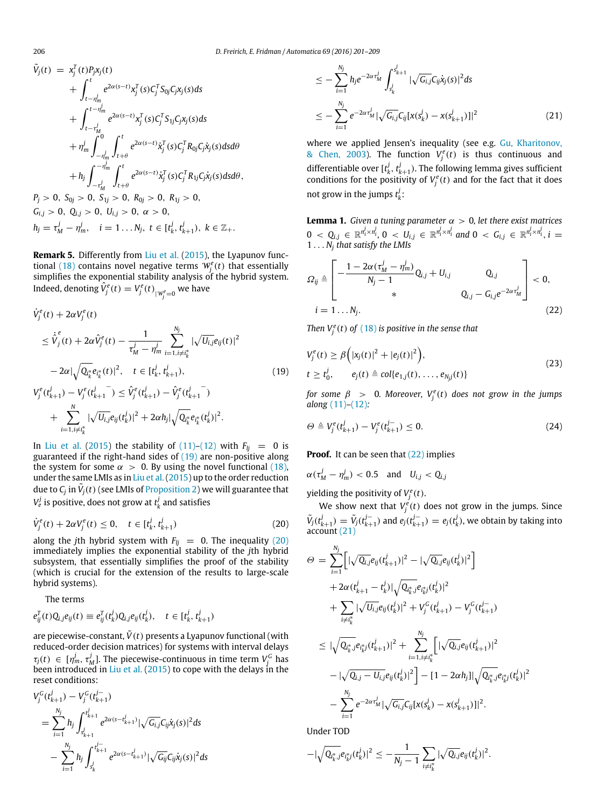$$
\tilde{V}_{j}(t) = x_{j}^{T}(t)P_{j}x_{j}(t) \n+ \int_{t-\eta_{m}^{j}}^{t} e^{2\alpha(s-t)}x_{j}^{T}(s)C_{j}^{T}S_{0j}C_{j}x_{j}(s)ds \n+ \int_{t-\eta_{m}^{j}}^{t-\eta_{m}^{j}} e^{2\alpha(s-t)}x_{j}^{T}(s)C_{j}^{T}S_{1j}C_{j}x_{j}(s)ds \n+ \eta_{m}^{j} \int_{-\eta_{m}^{j}}^{0} \int_{t+\theta}^{t} e^{2\alpha(s-t)}\dot{x}_{j}^{T}(s)C_{j}^{T}R_{0j}C_{j}\dot{x}_{j}(s)dsd\theta \n+ h_{j} \int_{-\eta_{m}^{j}}^{-\eta_{m}^{j}} \int_{t+\theta}^{t} e^{2\alpha(s-t)}\dot{x}_{j}^{T}(s)C_{j}^{T}R_{1j}C_{j}\dot{x}_{j}(s)dsd\theta, \nP_{j} > 0, S_{0j} > 0, S_{1j} > 0, R_{0j} > 0, R_{1j} > 0, \nG_{i,j} > 0, Q_{i,j} > 0, U_{i,j} > 0, \alpha > 0, \nh_{j} = \tau_{m}^{j} - \eta_{m}^{j}, \quad i = 1...N_{j}, t \in [t_{k}^{j}, t_{k+1}^{j}), k \in \mathbb{Z}_{+}.
$$

**Remark 5.** Differently from [Liu](#page-8-10) [et al.](#page-8-10) [\(2015\)](#page-8-10), the Lyapunov func-tional [\(18\)](#page-4-4) contains novel negative terms  $W_j^e(t)$  that essentially simplifies the exponential stability analysis of the hybrid system. Indeed, denoting  $\hat{V}^e_j(t) = V^e_j(t)_{\vert\mathcal{W}^e_j=0}$  we have

$$
\dot{V}_{j}^{e}(t) + 2\alpha V_{j}^{e}(t)
$$
\n
$$
\leq \dot{\hat{V}}_{j}^{e}(t) + 2\alpha \hat{V}_{j}^{e}(t) - \frac{1}{\tau_{M}^{j} - \eta_{m}^{j}} \sum_{i=1, i \neq i_{k}^{*}}^{N_{j}} |\sqrt{U_{i,j}} e_{ij}(t)|^{2}
$$
\n
$$
-2\alpha |\sqrt{Q_{i_{k}^{*}} e_{i_{k}^{*}}(t)}|^{2}, \quad t \in [t_{k}^{j}, t_{k+1}^{j}),
$$
\n
$$
V_{j}^{e}(t_{k+1}^{j}) - V_{j}^{e}(t_{k+1}^{j}) \leq \hat{V}_{j}^{e}(t_{k+1}^{j}) - \hat{V}_{j}^{e}(t_{k+1}^{j})
$$
\n
$$
+ \sum_{i=1}^{N} |\sqrt{U_{i,j}} e_{ij}(t_{k}^{j})|^{2} + 2\alpha h_{j} |\sqrt{Q_{i_{k}^{*}} e_{i_{k}^{*}}(t_{k}^{j})|^{2}}.
$$
\n(19)

In [Liu](#page-8-10) [et al.](#page-8-10) [\(2015\)](#page-8-10) the stability of  $(11)-(12)$  $(11)-(12)$  with  $F_{lj} = 0$  is guaranteed if the right-hand sides of [\(19\)](#page-5-0) are non-positive along the system for some  $\alpha > 0$ . By using the novel functional [\(18\),](#page-4-4) under the same LMIs as in [Liu](#page-8-10) [et al.\(2015\)](#page-8-10) up to the order reduction due to  $\mathcal{C}_j$  in  $\tilde{V}_j(t)$  (see LMIs of [Proposition 2\)](#page-6-3) we will guarantee that  $V_{e}^{j}$  is positive, does not grow at  $t_{k}^{j}$  and satisfies

$$
\dot{V}_j^e(t) + 2\alpha V_j^e(t) \le 0, \quad t \in [t_k^j, t_{k+1}^j)
$$
\n(20)

along the *j*th hybrid system with  $F_{lj} = 0$ . The inequality [\(20\)](#page-5-1) immediately implies the exponential stability of the *j*th hybrid subsystem, that essentially simplifies the proof of the stability (which is crucial for the extension of the results to large-scale hybrid systems).

The terms

 $i=1, i\neq i^*_{k}$ 

$$
e_{ij}^{T}(t)Q_{i,j}e_{ij}(t) \equiv e_{ij}^{T}(t_{k}^{j})Q_{i,j}e_{ij}(t_{k}^{j}), \quad t \in [t_{k}^{j}, t_{k+1}^{j})
$$

are piecewise-constant,  $\tilde{V}(t)$  presents a Lyapunov functional (with reduced-order decision matrices) for systems with interval delays  $\tau_j(t) \in [\eta_m^j, \tau_M^j]$ . The piecewise-continuous in time term  $V_j^G$  has been introduced in [Liu](#page-8-10) [et al.](#page-8-10) [\(2015\)](#page-8-10) to cope with the delays in the reset conditions:

$$
V_j^G(t_{k+1}^j) - V_j^G(t_{k+1}^{j-1})
$$
  
= 
$$
\sum_{i=1}^{N_j} h_j \int_{s_{k+1}^j}^{t_{k+1}^j} e^{2\alpha(s - t_{k+1}^j)} |\sqrt{G_{i,j}} C_{ij} \dot{x}_j(s)|^2 ds
$$
  
- 
$$
\sum_{i=1}^{N_j} h_j \int_{s_k^j}^{t_{k+1}^j} e^{2\alpha(s - t_{k+1}^j)} |\sqrt{G_{ij}} C_{ij} \dot{x}_j(s)|^2 ds
$$

<span id="page-5-3"></span>
$$
\leq -\sum_{i=1}^{N_j} h_j e^{-2\alpha \tau_M^j} \int_{s_k^j}^{s_{k+1}^j} |\sqrt{G_{i,j}} C_{ij} \dot{x}_j(s)|^2 ds
$$
  

$$
\leq -\sum_{i=1}^{N_j} e^{-2\alpha \tau_M^j} |\sqrt{G_{i,j}} C_{ij}[x(s_k^j) - x(s_{k+1}^j)]|^2
$$
(21)

where we applied Jensen's inequality (see e.g. [Gu,](#page-8-18) [Kharitonov,](#page-8-18) [&](#page-8-18) [Chen,](#page-8-18) [2003\)](#page-8-18). The function  $V_f^e(t)$  is thus continuous and differentiable over  $[t_k^j, t_{k+1}^j)$ . The following lemma gives sufficient conditions for the positivity of  $V_j^e(t)$  and for the fact that it does not grow in the jumps  $t_k^j$ .

<span id="page-5-4"></span>**Lemma 1.** *Given a tuning parameter*  $\alpha > 0$ , *let there exist matrices*  $0 \le Q_{i,j} \in \mathbb{R}^{n_i^j \times n_i^j}$ ,  $0 \le U_{i,j} \in \mathbb{R}^{n_i^j \times n_i^j}$  and  $0 \le G_{i,j} \in \mathbb{R}^{n_i^j \times n_i^j}$ ,  $i =$ 1 . . . *N<sup>j</sup> that satisfy the LMIs*

$$
\Omega_{ij} \triangleq \begin{bmatrix} -\frac{1 - 2\alpha(\tau_M^j - \eta_m^j)}{N_j - 1} Q_{i,j} + U_{i,j} & Q_{i,j} \\ * & Q_{i,j} - G_{i,j} e^{-2\alpha \tau_M^j} \end{bmatrix} < 0,
$$
  
\n $i = 1 ... N_j.$  (22)

<span id="page-5-5"></span><span id="page-5-2"></span><span id="page-5-0"></span>*Then*  $V_j^e(t)$  *of* [\(18\)](#page-4-4) *is positive in the sense that* 

$$
V_j^e(t) \ge \beta\Big(|x_j(t)|^2 + |e_j(t)|^2\Big),
$$
  
\n
$$
t \ge t_0^j, \qquad e_j(t) \triangleq col\{e_{1,j}(t), \ldots, e_{N_jj}(t)\}\tag{23}
$$

*for some*  $\beta > 0$ *. Moreover,*  $V_f^e(t)$  *does not grow in the jumps along* [\(11\)](#page-2-2)*–*[\(12\)](#page-3-0)*:*

<span id="page-5-6"></span>
$$
\Theta \triangleq V_j^e(t_{k+1}^j) - V_j^e(t_{k+1}^{j-}) \leq 0. \tag{24}
$$

**Proof.** It can be seen that [\(22\)](#page-5-2) implies

$$
\alpha(\tau_M^j-\eta_m^j)<0.5 \text{ and } U_{i,j}
$$

yielding the positivity of  $V_j^e(t)$ .

<span id="page-5-1"></span>We show next that  $V_j^e(t)$  does not grow in the jumps. Since  $\tilde{V}_j(t_{k+1}^j) = \tilde{V}_j(t_{k+1}^{j-})$  and  $e_j(t_{k+1}^{j-}) = e_j(t_k^j)$ , we obtain by taking into account [\(21\)](#page-5-3)

$$
\varTheta = \sum_{i=1}^{N_j} \Big[ |\sqrt{Q_{i,j}} e_{ij} (t_{k+1}^j)|^2 - |\sqrt{Q_{i,j}} e_{ij} (t_k^j)|^2 \Big] \n+ 2\alpha (t_{k+1}^j - t_k^j) |\sqrt{Q_{i_k^*}^* j} e_{i_k^* j} (t_k^j)|^2 \n+ \sum_{i \neq i_k^*} |\sqrt{U_{i,j}} e_{ij} (t_k^j)|^2 + V_j^G(t_{k+1}^j) - V_j^G(t_{k+1}^j) \n\leq |\sqrt{Q_{i_k^*}^* j} e_{i_k^* j} (t_{k+1}^j)|^2 + \sum_{i=1, i \neq i_k^*}^{N_j} \Big[ |\sqrt{Q_{i,j}} e_{ij} (t_{k+1}^j)|^2 \n- |\sqrt{Q_{i,j} - U_{i,j}} e_{ij} (t_k^j)|^2 \Big] - [1 - 2\alpha h_j] |\sqrt{Q_{i_k^*}^* j} e_{i_k^* j} (t_k^j)|^2 \n- \sum_{i=1}^{N_j} e^{-2\alpha \tau_M^j} |\sqrt{G_{i,j}} C_{ij} [x(s_k^j) - x(s_{k+1}^j)]|^2.
$$

Under TOD

$$
-|\sqrt{Q_{i_k^*j}}e_{i_k^*j}(t_k^j)|^2\leq -\frac{1}{N_j-1}\sum_{i\neq i_k^*}|\sqrt{Q_{i,j}}e_{ij}(t_k^j)|^2.
$$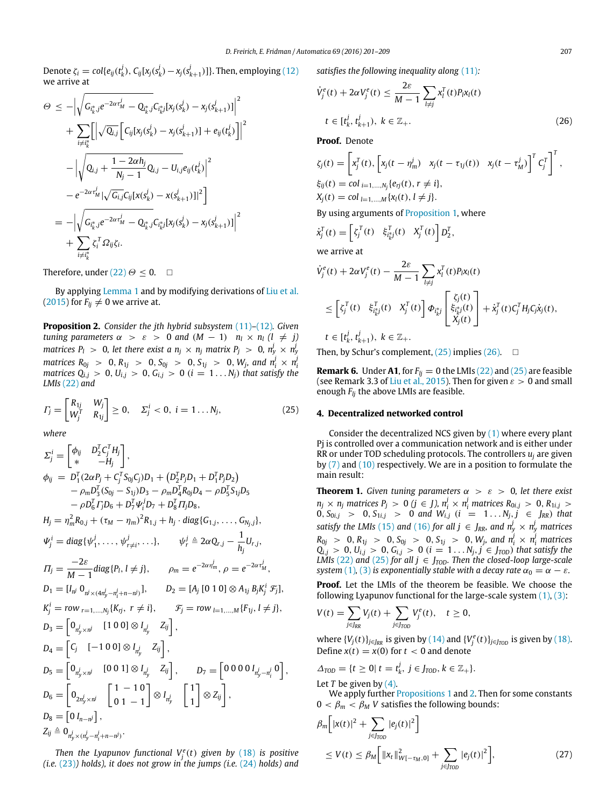Denote  $\zeta_i = col\{e_{ij}(t_k^j), C_{ij}[x_j(s_k^j) - x_j(s_{k+1}^j)]\}$ . Then, employing [\(12\)](#page-3-0) we arrive at

$$
\Theta \leq -\Big|\sqrt{G_{i_k^*j}e^{-2\alpha \tau_M^j} - Q_{i_k^*j}C_{i_k^*j}[x_j(s_k^j) - x_j(s_{k+1}^j)]\Big|^2}
$$
\n
$$
+ \sum_{i \neq i_k^*} \Big[\Big|\sqrt{Q_{i,j}} \Big[C_{ij}[x_j(s_k^j) - x_j(s_{k+1}^j)] + e_{ij}(t_k^j)\Big]\Big|^2
$$
\n
$$
- \Big|\sqrt{Q_{i,j} + \frac{1 - 2\alpha h_j}{N_j - 1}Q_{i,j} - U_{i,j}e_{ij}(t_k^j)\Big|^2}
$$
\n
$$
- e^{-2\alpha \tau_M^j} \Big|\sqrt{G_{i,j}C_{ij}[x(s_k^j) - x(s_{k+1}^j)]\Big|^2}
$$
\n
$$
= -\Big|\sqrt{G_{i_k^*j}e^{-2\alpha \tau_M^j} - Q_{i_k^*j}C_{i_k^*j}[x_j(s_k^j) - x_j(s_{k+1}^j)]\Big|^2}
$$
\n
$$
+ \sum_{i \neq i_k^*} \zeta_i^T \Omega_{ij} \zeta_i.
$$

Therefore, under [\(22\)](#page-5-2)  $\Theta \leq 0$ .  $\Box$ 

By applying [Lemma 1](#page-5-4) and by modifying derivations of [Liu](#page-8-10) [et al.](#page-8-10) [\(2015\)](#page-8-10) for  $F_{lj} \neq 0$  we arrive at.

<span id="page-6-3"></span>**Proposition 2.** *Consider the jth hybrid subsystem* [\(11\)](#page-2-2)*–*[\(12\)](#page-3-0)*. Given tuning parameters*  $\alpha > \varepsilon > 0$  *and*  $(M - 1)$   $n_l \times n_l$   $(l \neq j)$ *matrices P<sub>l</sub>*  $>0$ , let there exist a  $n_j \times n_j$  matrix  $P_j > 0$ ,  $n_y^j \times n_y^j$ matrices  $R_{0j} > 0, R_{1j} > 0, S_{0j} > 0, S_{1j} > 0, W_j$ , and  $n_i^j \times n_i^j$ <br>matrices  $Q_{i,j} > 0, U_{i,j} > 0, G_{i,j} > 0$   $(i = 1 \dots N_j)$  that satisfy the *LMIs* [\(22\)](#page-5-2) *and*

$$
\Gamma_j = \begin{bmatrix} R_{1j} & W_j \\ W_j^T & R_{1j} \end{bmatrix} \geq 0, \quad \Sigma_j^i < 0, \ i = 1 \dots N_j,\tag{25}
$$

*where*

$$
\Sigma_{j}^{i} = \begin{bmatrix} \phi_{ij} & D_{2}^{T}C_{j}^{T}H_{j} \\ * & -H_{j} \end{bmatrix},
$$
  
\n
$$
\phi_{ij} = D_{1}^{T}(2\alpha P_{j} + C_{j}^{T}S_{0j}C_{j})D_{1} + (D_{2}^{T}P_{j}D_{1} + D_{1}^{T}P_{j}D_{2}) -\rho_{m}D_{3}^{T}(S_{0j} - S_{1j})D_{3} - \rho_{m}D_{4}^{T}R_{0j}D_{4} - \rho D_{5}^{T}S_{1j}D_{5} -\rho D_{6}^{T}T_{j}D_{6} + D_{7}^{T}\Psi_{i}^{j}D_{7} + D_{8}^{T}T_{1j}D_{8},
$$
  
\n
$$
H_{j} = \eta_{m}^{2}R_{0,j} + (\tau_{M} - \eta_{m})^{2}R_{1,j} + h_{j} \cdot diag\{G_{1,j}, ..., G_{N_{j},j}\},
$$
  
\n
$$
\Psi_{j}^{i} = diag\{\psi_{1}^{j}, ..., \psi_{r \neq i}^{j}, ... \}, \qquad \psi_{r}^{j} \triangleq 2\alpha Q_{r,j} - \frac{1}{h_{j}}U_{r,j},
$$
  
\n
$$
\Pi_{j} = \frac{-2\varepsilon}{M-1}diag\{P_{l}, l \neq j\}, \qquad \rho_{m} = e^{-2\alpha\eta_{m}^{j}}, \rho = e^{-2\alpha\tau_{M}^{j}},
$$
  
\n
$$
D_{1} = [I_{n}^{j} O_{n^{j} \times (4\pi_{N}^{j} - \pi_{i}^{j} + n - n^{j})}], \qquad D_{2} = [A_{j} [0 1 0] \otimes A_{1j} B_{j}K_{j}^{i} \mathcal{F}_{j}],
$$
  
\n
$$
K_{j}^{i} = row_{r=1,...,N_{j}\{K_{rj}, r \neq i\}, \qquad \mathcal{F}_{j} = row_{l=1,...,M}\{F_{1j}, l \neq j\},
$$
  
\n
$$
D_{3} = \begin{bmatrix} O_{n_{N}^{j} \times n^{j}} & [1 0 0] \otimes I_{n_{N}^{j}} & Z_{ij} \end{bmatrix},
$$

*Then the Lyapunov functional*  $V_j^e(t)$  *given by* [\(18\)](#page-4-4) *is positive (i.e.* [\(23\)](#page-5-5)*) holds), it does not grow in the jumps (i.e.* [\(24\)](#page-5-6) *holds) and* *satisfies the following inequality along* [\(11\)](#page-2-2)*:*

<span id="page-6-5"></span>
$$
\dot{V}_{j}^{e}(t) + 2\alpha V_{j}^{e}(t) \leq \frac{2\varepsilon}{M-1} \sum_{l \neq j} x_{l}^{T}(t) P_{l} x_{l}(t)
$$
\n
$$
t \in [t_{k}^{j}, t_{k+1}^{j}), \ k \in \mathbb{Z}_{+}.
$$
\n(26)

**Proof.** Denote

$$
\zeta_j(t) = \left[ x_j^T(t), \left[ x_j(t - \eta_m^j) \right] x_j(t - \tau_{1j}(t)) \right] x_j(t - \tau_m^j) \Big]^T C_j^T \right]^T,
$$
  
\n
$$
\xi_{ij}(t) = \text{col}_{i=1,\dots,N_j} \{ e_{rj}(t), r \neq i \},
$$
  
\n
$$
X_j(t) = \text{col}_{l=1,\dots,N} \{ x_l(t), l \neq j \}.
$$

By using arguments of [Proposition 1,](#page-3-2) where

$$
\dot{x}_j^T(t) = \left[ \zeta_j^T(t) \quad \xi_{i_k^*j}^T(t) \quad X_j^T(t) \right] D_2^T,
$$

we arrive at

$$
\dot{V}_{j}^{e}(t) + 2\alpha V_{j}^{e}(t) - \frac{2\varepsilon}{M-1} \sum_{l \neq j} x_{l}^{T}(t) P_{l}x_{l}(t)
$$
\n
$$
\leq \left[ \zeta_{j}^{T}(t) \ \xi_{i_{k}^{*}j}^{T}(t) \ X_{j}^{T}(t) \right] \Phi_{i_{k}^{*}j} \left[ \begin{array}{c} \zeta_{j}(t) \\ \xi_{i_{k}^{*}j}(t) \\ X_{j}(t) \end{array} \right] + \dot{x}_{j}^{T}(t) C_{j}^{T} H_{j} C_{j} \dot{x}_{j}(t),
$$
\n
$$
t \in [t_{k}^{j}, t_{k+1}^{j}), k \in \mathbb{Z}_{+}.
$$

Then, by Schur's complement,  $(25)$  implies  $(26)$ .  $\Box$ 

<span id="page-6-0"></span>**Remark 6.** Under A1, for  $F_{lj} = 0$  the LMIs [\(22\)](#page-5-2) and [\(25\)](#page-6-4) are feasible (see Remark 3.3 of [Liu](#page-8-10) [et al.,](#page-8-10) [2015\)](#page-8-10). Then for given  $\varepsilon > 0$  and small enough *Flj* the above LMIs are feasible.

### <span id="page-6-4"></span><span id="page-6-2"></span>**4. Decentralized networked control**

Consider the decentralized NCS given by [\(1\)](#page-1-1) where every plant Pj is controlled over a communication network and is either under RR or under TOD scheduling protocols. The controllers *u<sup>j</sup>* are given by [\(7\)](#page-2-0) and [\(10\)](#page-2-1) respectively. We are in a position to formulate the main result:

<span id="page-6-1"></span>**Theorem 1.** *Given tuning parameters*  $\alpha > \varepsilon > 0$ *, let there exist*  $n_j \times n_j$  matrices  $P_j > 0$  ( $j \in J$ ),  $n_i^j \times n_i^j$  matrices  $R_{0i,j} > 0$ ,  $R_{1i,j} > 0$  $0, S_{0i,j} > 0, S_{1i,j} > 0$  and  $W_{i,j}$  ( $i = 1...N_j, j \in J_{RR}$ ) that *satisfy the LMIs* [\(15\)](#page-3-3) *and* [\(16\)](#page-3-4) *for all*  $j \in J_{RR}$ *, and*  $n_y^j \times n_y^j$  *matrices*  $R_{0j}$  > 0,  $R_{1j}$  > 0,  $S_{0j}$  > 0,  $S_{1j}$  > 0,  $W_j$ , and  $n_i^j \times n_i^j$  matrices  $Q_{i,j} > 0, U_{i,j} > 0, G_{i,j} > 0$  (*i* = 1...  $N_j, j \in J_{TOD}$ ) *that satisfy the LMIs* [\(22\)](#page-5-2) and [\(25\)](#page-6-4) for all  $j \in J_{\text{TOP}}$ . Then the closed-loop large-scale *system* [\(1\)](#page-1-1), [\(3\)](#page-1-2) *is exponentially stable with a decay rate*  $\alpha_0 = \alpha - \varepsilon$ *.* 

**Proof.** Let the LMIs of the theorem be feasible. We choose the following Lyapunov functional for the large-scale system  $(1)$ ,  $(3)$ :

$$
V(t) = \sum_{j \in J_{RR}} V_j(t) + \sum_{j \in J_{TOD}} V_j^e(t), \quad t \ge 0,
$$

where  $\{V_j(t)\}_{j \in J_{RR}}$  is given by [\(14\)](#page-3-1) and  $\{V_j^e(t)\}_{j \in J_{TOD}}$  is given by [\(18\).](#page-4-4) Define  $x(t) = x(0)$  for  $t < 0$  and denote

$$
\Delta_{\text{TOP}} = \{t \geq 0 | t = t_k^j, j \in J_{\text{TOP}}, k \in \mathbb{Z}_+\}.
$$

Let  $T$  be given by  $(4)$ .

We apply further [Propositions 1](#page-3-2) and [2.](#page-6-3) Then for some constants  $0 < \beta_m < \beta_M$  *V* satisfies the following bounds:

<span id="page-6-6"></span>
$$
\beta_m \Big[ |x(t)|^2 + \sum_{j \in J_{TOD}} |e_j(t)|^2 \Big] \n\le V(t) \le \beta_M \Big[ ||x_t||_{W[-\tau_M,0]}^2 + \sum_{j \in J_{TOD}} |e_j(t)|^2 \Big],
$$
\n(27)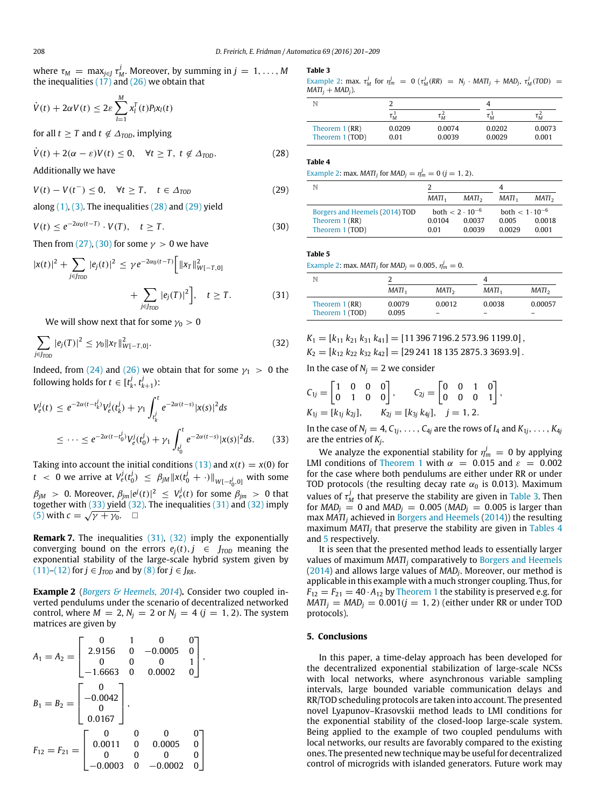where  $\tau_M = \max_{j \in J} \tau_M^j$ . Moreover, by summing in  $j = 1, \ldots, M$ the inequalities  $(17)$  and  $(26)$  we obtain that

$$
\dot{V}(t) + 2\alpha V(t) \leq 2\varepsilon \sum_{l=1}^{M} x_l^T(t) P_l x_l(t)
$$

for all  $t \geq T$  and  $t \notin \Delta_{\text{TOP}}$ , implying

$$
\dot{V}(t) + 2(\alpha - \varepsilon)V(t) \le 0, \quad \forall t \ge T, \ t \notin \Delta_{\text{TOP}}.
$$
 (28)

Additionally we have

*V*(*t*) − *V*(*t*<sup>-</sup>) ≤ 0,  $\forall t \geq T$ ,  $t \in \Delta_{\text{TOP}}$  (29)

along  $(1)$ ,  $(3)$ . The inequalities  $(28)$  and  $(29)$  yield

$$
V(t) \le e^{-2\alpha_0(t-T)} \cdot V(T), \quad t \ge T. \tag{30}
$$

Then from [\(27\),](#page-6-6) [\(30\)](#page-7-2) for some  $\gamma > 0$  we have

$$
|x(t)|^{2} + \sum_{j \in J_{TOD}} |e_{j}(t)|^{2} \leq \gamma e^{-2\alpha_{0}(t-T)} \Big[ ||x_{T}||_{W[-T,0]}^{2} + \sum_{j \in J_{TOD}} |e_{j}(T)|^{2} \Big], \quad t \geq T.
$$
 (31)

We will show next that for some  $\gamma_0 > 0$ 

$$
\sum_{j \in J_{TOD}} |e_j(T)|^2 \le \gamma_0 \|x_T\|_{W[-T,0]}^2.
$$
 (32)

Indeed, from [\(24\)](#page-5-6) and [\(26\)](#page-6-5) we obtain that for some  $\gamma_1 > 0$  the following holds for  $t \in [t_k^j, t_{k+1}^j)$ :

$$
V_e^j(t) \le e^{-2\alpha(t - t_k^j)} V_e^j(t_k^j) + \gamma_1 \int_{t_k^j}^t e^{-2\alpha(t - s)} |x(s)|^2 ds
$$
  

$$
\le \dots \le e^{-2\alpha(t - t_0^j)} V_e^j(t_0^j) + \gamma_1 \int_{t_0^j}^t e^{-2\alpha(t - s)} |x(s)|^2 ds. \tag{33}
$$

Taking into account the initial conditions [\(13\)](#page-3-6) and  $x(t) = x(0)$  for *t* < 0 we arrive at  $V_e^j(t_0^j) \leq \beta_{jM} \|x(t_0^j + \cdot)\|_{W[-t_0^j,0]}$  with some

 $\beta_{jM}$   $>$  0. Moreover,  $\beta_{jm} |e^j(t)|^2 \ \leq \ V_e^j(t)$  for some  $\beta_{jm} > 0$  that together with [\(33\)](#page-7-3) yield [\(32\).](#page-7-4) The inequalities [\(31\)](#page-7-5) and [\(32\)](#page-7-4) imply [\(5\)](#page-2-4) with  $c = \sqrt{\gamma + \gamma_0}$ .  $\Box$ 

**Remark 7.** The inequalities [\(31\),](#page-7-5) [\(32\)](#page-7-4) imply the exponentially converging bound on the errors  $e_i(t)$ ,  $j \in J_{\text{TOP}}$  meaning the exponential stability of the large-scale hybrid system given by  $(11)$ – $(12)$  for  $j \in J_{TOD}$  and by  $(8)$  for  $j \in J_{RR}$ .

<span id="page-7-6"></span>**Example 2** (*[Borgers](#page-8-13) [&](#page-8-13) [Heemels,](#page-8-13) [2014](#page-8-13)*)**.** Consider two coupled inverted pendulums under the scenario of decentralized networked control, where  $M = 2$ ,  $N_j = 2$  or  $N_j = 4$  ( $j = 1, 2$ ). The system matrices are given by

$$
A_1 = A_2 = \begin{bmatrix} 0 & 1 & 0 & 0 \\ 2.9156 & 0 & -0.0005 & 0 \\ 0 & 0 & 0 & 1 \\ -1.6663 & 0 & 0.0002 & 0 \end{bmatrix},
$$
  
\n
$$
B_1 = B_2 = \begin{bmatrix} 0 \\ -0.0042 \\ 0 \\ 0.0167 \end{bmatrix},
$$
  
\n
$$
F_{12} = F_{21} = \begin{bmatrix} 0 & 0 & 0 & 0 \\ 0.0011 & 0 & 0.0005 & 0 \\ 0 & 0 & 0 & 0 \\ -0.0003 & 0 & -0.0002 & 0 \end{bmatrix}
$$

#### <span id="page-7-7"></span>**Table 3**

[Example 2:](#page-7-6) max.  $\tau_M^j$  for  $\eta_m^j = 0$  ( $\tau_M^j(RR) = N_j \cdot MATI_j + MAD_j$ ,  $\tau_M^j(TOD) =$  $MATI_i + MAD_i$ ).

| N                                  |                |                   |                  |                  |  |
|------------------------------------|----------------|-------------------|------------------|------------------|--|
|                                    | $\tau_M^1$     | $\iota_{\bar{M}}$ | $\tau_M^{\perp}$ | $\tau_{\hat{M}}$ |  |
| Theorem $1(RR)$<br>Theorem 1 (TOD) | 0.0209<br>0.01 | 0.0074<br>0.0039  | 0.0202<br>0.0029 | 0.0073<br>0.001  |  |

#### <span id="page-7-8"></span><span id="page-7-0"></span>**Table 4**

[Example 2:](#page-7-6) max. *MATI*<sub>*j*</sub> for *MAD*<sub>*j*</sub> =  $\eta_m^j = 0$  (*j* = 1, 2).

<span id="page-7-1"></span>

| N                              |                   |                          |                    |                   |
|--------------------------------|-------------------|--------------------------|--------------------|-------------------|
|                                | MATI <sub>1</sub> | MATI <sub>2</sub>        | $MATI_1$           | MATI <sub>2</sub> |
| Borgers and Heemels (2014) TOD |                   | both $< 2 \cdot 10^{-6}$ | both $< 1.10^{-6}$ |                   |
| Theorem 1 (RR)                 | 0.0104            | 0.0037                   | 0.005              | 0.0018            |
| Theorem 1 (TOD)                | 0.01              | 0.0039                   | 0.0029             | 0.001             |

<span id="page-7-9"></span><span id="page-7-2"></span>**Table 5**

[Example 2:](#page-7-6) max. *MATI*<sub>*j*</sub> for *MAD*<sub>*j*</sub> = 0.005,  $\eta_m^j = 0$ .

<span id="page-7-5"></span>

| N                                  |                   |                    |                   |                   |
|------------------------------------|-------------------|--------------------|-------------------|-------------------|
|                                    | MATI <sub>1</sub> | MATI <sub>2</sub>  | MATI <sub>1</sub> | MATI <sub>2</sub> |
| Theorem $1(RR)$<br>Theorem 1 (TOD) | 0.0079<br>0.095   | 0.0012<br>$\equiv$ | 0.0038<br>-       | 0.00057           |

<span id="page-7-4"></span>
$$
K_1 = [k_{11} k_{21} k_{31} k_{41}] = [11\,396\,7196.2\,573.96\,1199.0],
$$

 $K_2 = [k_{12} \, k_{22} \, k_{32} \, k_{42}] = [29\,241\,18\,135\,2875.3\,3693.9]$ .

In the case of  $N_i = 2$  we consider

$$
C_{1j} = \begin{bmatrix} 1 & 0 & 0 & 0 \\ 0 & 1 & 0 & 0 \end{bmatrix}, \qquad C_{2j} = \begin{bmatrix} 0 & 0 & 1 & 0 \\ 0 & 0 & 0 & 1 \end{bmatrix},
$$
  
\n
$$
K_{1j} = [k_{1j} k_{2j}], \qquad K_{2j} = [k_{3j} k_{4j}], \quad j = 1, 2.
$$

<span id="page-7-3"></span>In the case of  $N_j = 4, C_{1j}, \ldots, C_{4j}$  are the rows of  $I_4$  and  $K_{1j}, \ldots, K_{4j}$ are the entries of *K<sup>j</sup>* .

We analyze the exponential stability for  $\eta_m^j = 0$  by applying LMI conditions of [Theorem 1](#page-6-1) with  $\alpha$  = 0.015 and  $\varepsilon$  = 0.002 for the case where both pendulums are either under RR or under TOD protocols (the resulting decay rate  $\alpha_0$  is 0.013). Maximum values of  $\tau_M^j$  that preserve the stability are given in [Table 3.](#page-7-7) Then for  $MAD_j = 0$  and  $MAD_j = 0.005$  ( $MAD_j = 0.005$  is larger than max *MATI<sup>j</sup>* achieved in [Borgers](#page-8-13) [and](#page-8-13) [Heemels](#page-8-13) [\(2014\)](#page-8-13)) the resulting maximum *MATI<sup>j</sup>* that preserve the stability are given in [Tables 4](#page-7-8) and [5](#page-7-9) respectively.

It is seen that the presented method leads to essentially larger values of maximum *MATI<sup>j</sup>* comparatively to [Borgers](#page-8-13) [and](#page-8-13) [Heemels](#page-8-13) [\(2014\)](#page-8-13) and allows large values of *MAD<sup>j</sup>* . Moreover, our method is applicable in this example with a much stronger coupling. Thus, for  $F_{12} = F_{21} = 40 \cdot A_{12}$  by [Theorem 1](#page-6-1) the stability is preserved e.g. for  $MATI_j = MAD_j = 0.001(j = 1, 2)$  (either under RR or under TOD protocols).

# **5. Conclusions**

In this paper, a time-delay approach has been developed for the decentralized exponential stabilization of large-scale NCSs with local networks, where asynchronous variable sampling intervals, large bounded variable communication delays and RR/TOD scheduling protocols are taken into account. The presented novel Lyapunov–Krasovskii method leads to LMI conditions for the exponential stability of the closed-loop large-scale system. Being applied to the example of two coupled pendulums with local networks, our results are favorably compared to the existing ones. The presented new technique may be useful for decentralized control of microgrids with islanded generators. Future work may